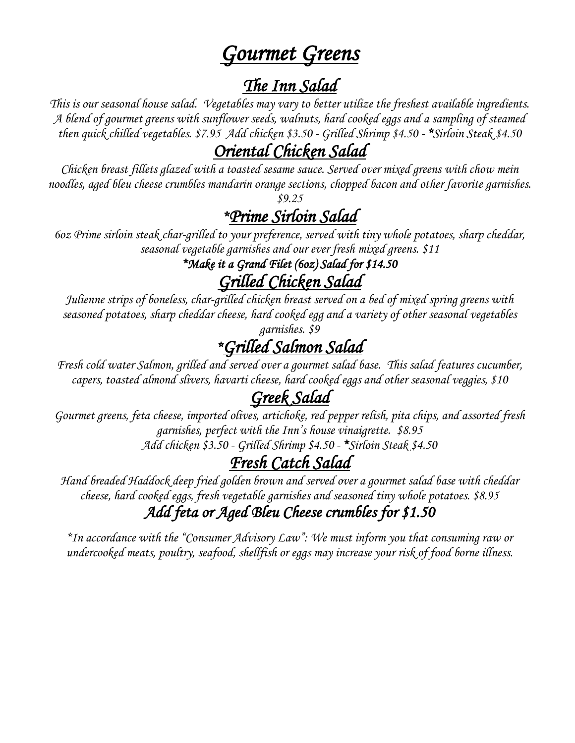## *Gourmet Greens*

*The Inn Salad*<br>This is our seasonal house salad. Vegetables may vary to better utilize the freshest available ingredients. *A blend of gourmet greens with sunflower seeds, walnuts, hard cooked eggs and a sampling of steamed then quick chilled vegetables. \$7.95 Add chicken \$3.50 - Grilled Shrimp \$4.50 - \*Sirloin Steak \$4.50*

*Oriental Chicken Salad Chicken breast fillets glazed with a toasted sesame sauce. Served over mixed greens with chow mein noodles, aged bleu cheese crumbles mandarin orange sections, chopped bacon and other favorite garnishes. \$9.25*

*\*Prime Sirloin Salad 6oz Prime sirloin steak char-grilled to your preference, served with tiny whole potatoes, sharp cheddar, seasonal vegetable garnishes and our ever fresh mixed greens. \$11*

*\*Make it a Grand Filet (6oz) Salad for \$14.50* 

*Grilled Chicken Salad*<br>Julienne strips of boneless, char-grilled chicken breast served on a bed of mixed spring greens with *seasoned potatoes, sharp cheddar cheese, hard cooked egg and a variety of other seasonal vegetables* 

## garnishes. \$9<br><u>Frilled Salmon Salad \*</u>

*\*Grilled Salmon Salad Fresh cold water Salmon, grilled and served over a gourmet salad base. This salad features cucumber, capers, toasted almond slivers, havarti cheese, hard cooked eggs and other seasonal veggies, \$10*

*Greek Salad Gourmet greens, feta cheese, imported olives, artichoke, red pepper relish, pita chips, and assorted fresh garnishes, perfect with the Inn's house vinaigrette. \$8.95 Add chicken \$3.50 - Grilled Shrimp \$4.50 - \*Sirloin Steak \$4.50* 

*Fresh Catch Salad Hand breaded Haddock deep fried golden brown and served over a gourmet salad base with cheddar cheese, hard cooked eggs, fresh vegetable garnishes and seasoned tiny whole potatoes. \$8.95*

## *Add feta or Aged Bleu Cheese crumbles for \$1.50*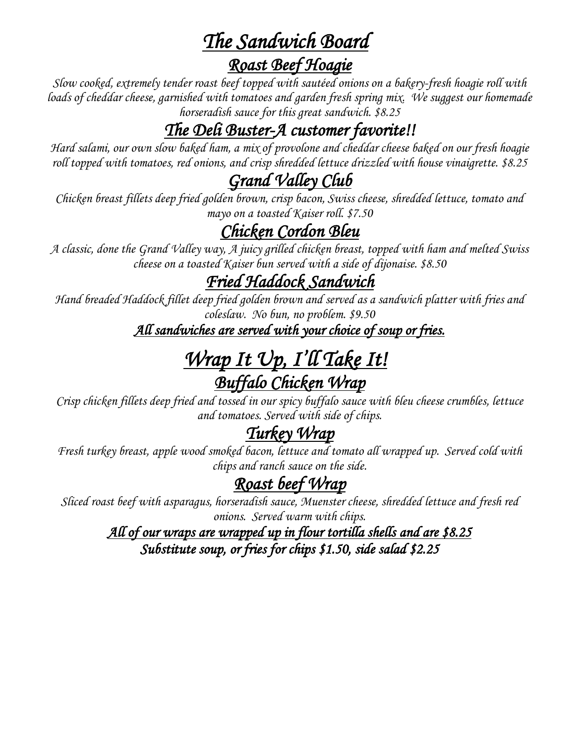*The Sandwich Board*<br>*Roast Beef Hoagie*<br>*Slow cooked, extremely tender roast beef topped with sautéed onions on a bakery-fresh hoagie roll with loads of cheddar cheese, garnished with tomatoes and garden fresh spring mix. We suggest our homemade horseradish sauce for this great sandwich. \$8.25*

*The Deli Buster-A customer favorite!! Hard salami, our own slow baked ham, <sup>a</sup> mix of provolone and cheddar cheese baked on our fresh hoagie roll topped with tomatoes, red onions, and crisp shredded lettuce drizzled with house vinaigrette. \$8.25*

*Grand Valley Club Chicken breast fillets deep fried golden brown, crisp bacon, Swiss cheese, shredded lettuce, tomato and* 

## *mayo on a toasted Kaiser roll. \$7.50*

*Chicken Cordon Bleu A classic, done the Grand Valley way, A juicy grilled chicken breast, topped with ham and melted Swiss cheese on a toasted Kaiser bun served with a side of dijonaise. \$8.50*

*Fried Haddock Sandwich Hand breaded Haddock fillet deep fried golden brown and served as a sandwich platter with fries and coleslaw. No bun, no problem. \$9.50*

*All sandwiches are served with your choice of soup or fries.* 

# *Wrap It Up, I'll Take It! Buffalo Chicken Wrap Crisp chicken fillets deep fried and tossed in our spicy buffalo sauce with bleu cheese crumbles, lettuce*

*and tomatoes. Served with side of chips.* 

*Turkey Wrap Fresh turkey breast, apple wood smoked bacon, lettuce and tomato all wrapped up. Served cold with chips and ranch sauce on the side.*

*Roast beef Wrap Sliced roast beef with asparagus, horseradish sauce, Muenster cheese, shredded lettuce and fresh red onions. Served warm with chips.*

*All of our wraps are wrapped up in flour tortilla shells and are \$8.25 Substitute soup, or fries for chips \$1.50, side salad \$2.25*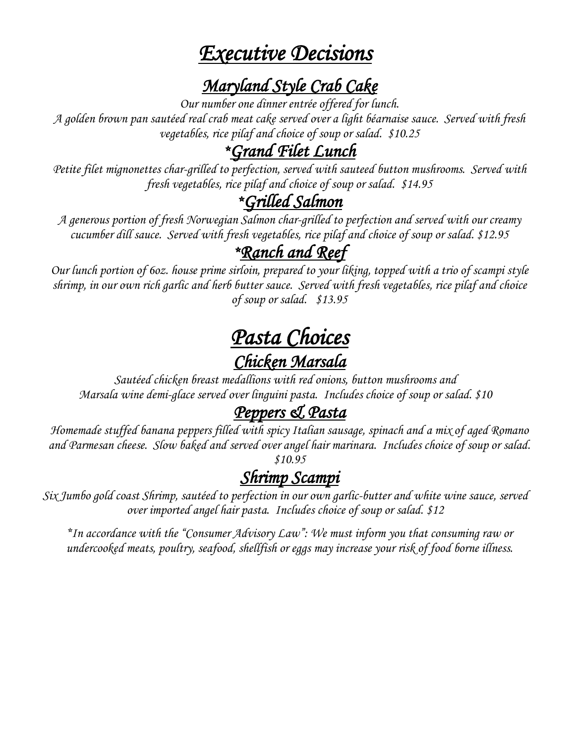## *Executive Decisions*

## *Maryland Style Crab Cake Our number one dinner entrée offered for lunch.*

*A golden brown pan sautéed real crab meat cake served over a light béarnaise sauce. Served with fresh vegetables, rice pilaf and choice of soup or salad. \$10.25*

*\*Grand Filet Lunch Petite filet mignonettes char-grilled to perfection, served with sauteed button mushrooms. Served with fresh vegetables, rice pilaf and choice of soup or salad. \$14.95*

*\*Grilled Salmon A generous portion of fresh Norwegian Salmon char-grilled to perfection and served with our creamy cucumber dill sauce. Served with fresh vegetables, rice pilaf and choice of soup or salad. \$12.95*

*\*Ranch and Reef Our lunch portion of 6oz. house prime sirloin, prepared to your liking, topped with a trio of scampi style shrimp, in our own rich garlic and herb butter sauce. Served with fresh vegetables, rice pilaf and choice of soup or salad. \$13.95*

# *Pasta Choices Chicken Marsala Sautéed chicken breast medallions with red onions, button mushrooms and*

*Marsala wine demi-glace served over linguini pasta. Includes choice of soup or salad. \$10*

*Peppers & Pasta*<br>Homemade stuffed banana peppers filled with spicy Italian sausage, spinach and a mix of aged Romano *and Parmesan cheese. Slow baked and served over angel hair marinara. Includes choice of soup or salad. \$10.95*

*Shrimp Scampi Six Jumbo gold coast Shrimp, sautéed to perfection in our own garlic-butter and white wine sauce, served over imported angel hair pasta. Includes choice of soup or salad. \$12*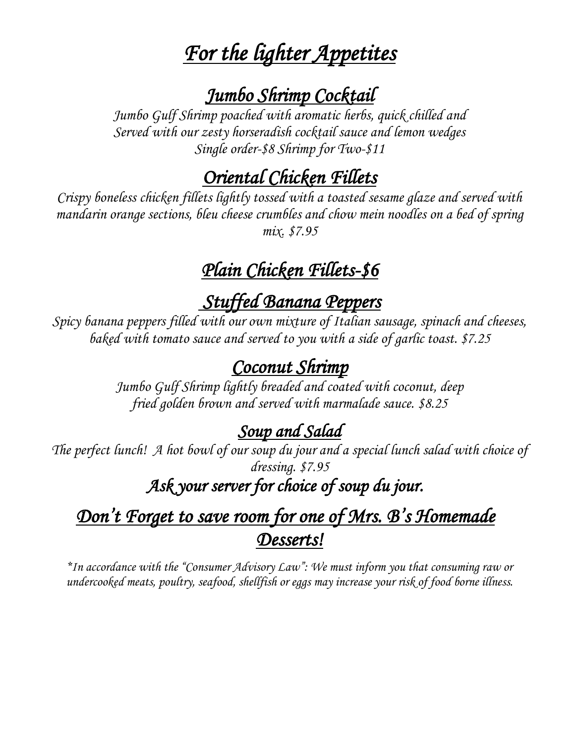## *For the lighter Appetites*

*Jumbo Shrimp Cocktail Jumbo Gulf Shrimp poached with aromatic herbs, quick chilled and Served with our zesty horseradish cocktail sauce and lemon wedges Single order-\$8 Shrimp for Two-\$11*

*Oriental Chicken Fillets Crispy boneless chicken fillets lightly tossed with a toasted sesame glaze and served with mandarin orange sections, bleu cheese crumbles and chow mein noodles on a bed of spring mix. \$7.95*

## *Plain Chicken Fillets-\$6*

*Stuffed Banana Peppers*<br>*Spicy banana peppers filled with our own mixture of Italian sausage, spinach and cheeses, baked with tomato sauce and served to you with a side of garlic toast. \$7.25*

*Coconut Shrimp Jumbo Gulf Shrimp lightly breaded and coated with coconut, deep fried golden brown and served with marmalade sauce. \$8.25* 

*Soup and Salad The perfect lunch! A hot bowl of our soup du jour and a special lunch salad with choice of dressing. \$7.95*

## *Ask your server for choice of soup du jour.*

## *Don't Forget to save room for one of Mrs. B's Homemade Desserts!*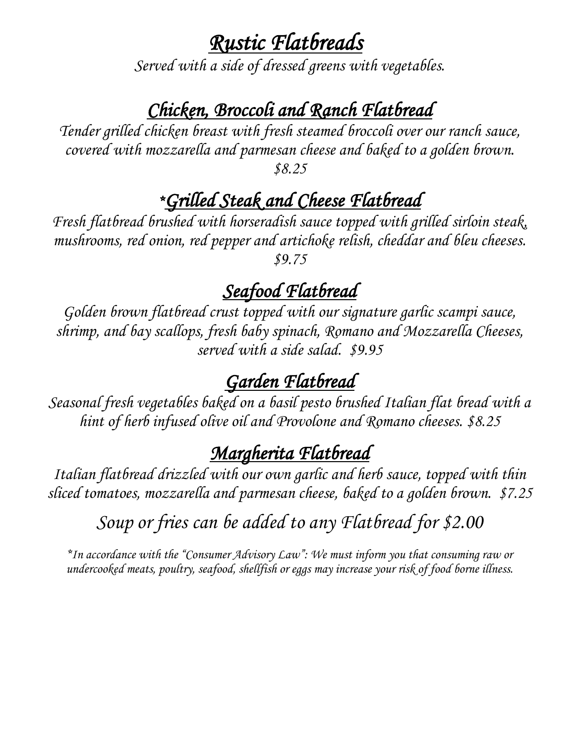*Rustic Flatbreads Served with a side of dressed greens with vegetables.* 

*Chicken, Broccoli and Ranch Flatbread Tender grilled chicken breast with fresh steamed broccoli over our ranch sauce, covered with mozzarella and parmesan cheese and baked to a golden brown. \$8.25*

## *\*Grilled Steak and Cheese Flatbread*

*Fresh flatbread brushed with horseradish sauce topped with grilled sirloin steak, mushrooms, red onion, red pepper and artichoke relish, cheddar and bleu cheeses. \$9.75*

*Seafood Flatbread Golden brown flatbread crust topped with our signature garlic scampi sauce, shrimp, and bay scallops, fresh baby spinach, Romano and Mozzarella Cheeses, served with a side salad. \$9.95*

*Garden Flatbread Seasonal fresh vegetables baked on a basil pesto brushed Italian flat bread with a hint of herb infused olive oil and Provolone and Romano cheeses. \$8.25*

*Margherita Flatbread Italian flatbread drizzled with our own garlic and herb sauce, topped with thin sliced tomatoes, mozzarella and parmesan cheese, baked to a golden brown. \$7.25*

*Soup or fries can be added to any Flatbread for \$2.00*